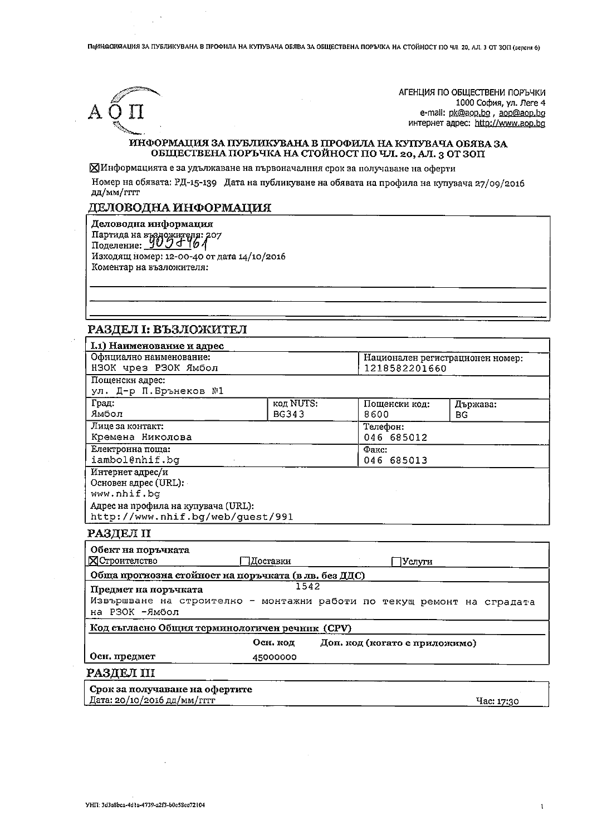Пафиа ОТОГА НИЯ ЗА ПУБЛИКУВАНА В ПРОФИЛА НА КУПУВАЧА ОБЯВА ЗА ОБЩЕСТВЕНА ПОРЪЧКА НА СТОЙНОСТ ПО ЧЛ. 20, АЛ. 3 ОТ 30П (версия 6)



АГЕНЦИЯ ПО ОБШЕСТВЕНИ ПОРЪЧКИ 1000 София, ул. Леге 4 e-mail: pk@aop.bg, aop@aop.bg интернет адрес: http://www.aop.bg

### ИНФОРМАЦИЯ ЗА ПУБЛИКУВАНА В ПРОФИЛА НА КУПУВАЧА ОБЯВА ЗА ОБЩЕСТВЕНА ПОРЪЧКА НА СТОЙНОСТ ПО ЧЛ. 20, АЛ. 3 ОТ ЗОП

ХИнформацията е за удължаване на първоначалния срок за получаване на оферти

Номер на обявата: РД-15-139 Дата на публикуване на обявата на профила на купувача 27/09/2016 дд/мм/гггг

#### ДЕЛОВОДНА ИНФОРМАЦИЯ

Деловодна информация Партида на въздожителя: 207 Изходящ номер: 12-00-40 от дата 14/10/2016 Коментар на възложителя:

## РАЗДЕЛ І: ВЪЗЛОЖИТЕЛ

| I.1) Наименование и адрес                            |              |                                  |          |  |  |
|------------------------------------------------------|--------------|----------------------------------|----------|--|--|
| Официално наименование:                              |              | Национален регистрационен номер: |          |  |  |
| НЗОК чрез РЗОК Ямбол                                 |              | 1218582201660                    |          |  |  |
| Пощенски адрес:                                      |              |                                  |          |  |  |
| ул. Д-р П.Брънеков №1                                |              |                                  |          |  |  |
| Град:                                                | код NUTS:    | Пощенски код:                    | Държава: |  |  |
| Ямбол                                                | <b>BG343</b> | 8600                             | BG.      |  |  |
| Лице за контакт:                                     |              | Телефон:                         |          |  |  |
| Кремена Николова                                     |              | 046 685012                       |          |  |  |
| Електронна поща:                                     |              | Факс:                            |          |  |  |
| iambol@nhif.bg                                       |              | 046 685013                       |          |  |  |
| Интернет адрес/и                                     |              |                                  |          |  |  |
| Основен адрес (URL):                                 |              |                                  |          |  |  |
| www.nhif.bq                                          |              |                                  |          |  |  |
| Адрес на профила на купувача (URL):                  |              |                                  |          |  |  |
| http://www.nhif.bg/web/quest/991                     |              |                                  |          |  |  |
| РАЗДЕЛ II                                            |              |                                  |          |  |  |
| Обект на поръчката                                   |              |                                  |          |  |  |
| <b>Х</b> Строителство                                | Лоставки     | Услуги                           |          |  |  |
| Обща прогнозна стойност на поръчката (в лв. без ДДС) |              |                                  |          |  |  |
| Предмет на поръчката                                 | 1542         |                                  |          |  |  |

Извършване на строително - монтажни работи по текущ ремонт на сградата на РЗОК -Ямбол

Код съгласно Общия терминологичен речник (CPV)

Осн. код Доп. код (когато е приложимо)

45000000

# Осн. предмет РАЗДЕЛ III

| Срок за получаване на офертите |            |  |
|--------------------------------|------------|--|
| Дата: 20/10/2016 дд/мм/гггг    | Hac: 17:30 |  |